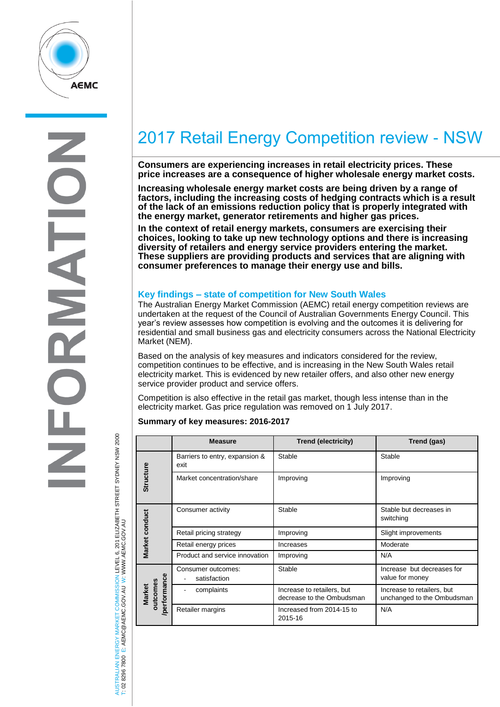

# 2017 Retail Energy Competition review - NSW

**Consumers are experiencing increases in retail electricity prices. These price increases are a consequence of higher wholesale energy market costs.** 

**Increasing wholesale energy market costs are being driven by a range of factors, including the increasing costs of hedging contracts which is a result of the lack of an emissions reduction policy that is properly integrated with the energy market, generator retirements and higher gas prices.**

**In the context of retail energy markets, consumers are exercising their choices, looking to take up new technology options and there is increasing diversity of retailers and energy service providers entering the market. These suppliers are providing products and services that are aligning with consumer preferences to manage their energy use and bills.**

## **Key findings – state of competition for New South Wales**

The Australian Energy Market Commission (AEMC) retail energy competition reviews are undertaken at the request of the Council of Australian Governments Energy Council. This year's review assesses how competition is evolving and the outcomes it is delivering for residential and small business gas and electricity consumers across the National Electricity Market (NEM).

Based on the analysis of key measures and indicators considered for the review, competition continues to be effective, and is increasing in the New South Wales retail electricity market. This is evidenced by new retailer offers, and also other new energy service provider product and service offers.

Competition is also effective in the retail gas market, though less intense than in the electricity market. Gas price regulation was removed on 1 July 2017.

#### **Summary of key measures: 2016-2017**

|                                          | <b>Measure</b>                         | Trend (electricity)                                     | Trend (gas)                                              |
|------------------------------------------|----------------------------------------|---------------------------------------------------------|----------------------------------------------------------|
| <b>Structure</b>                         | Barriers to entry, expansion &<br>exit | Stable                                                  | Stable                                                   |
|                                          | Market concentration/share             | Improving                                               | Improving                                                |
| Market conduct                           | Consumer activity                      | Stable                                                  | Stable but decreases in<br>switching                     |
|                                          | Retail pricing strategy                | Improving                                               | Slight improvements                                      |
|                                          | Retail energy prices                   | <b>Increases</b>                                        | Moderate                                                 |
|                                          | Product and service innovation         | Improving                                               | N/A                                                      |
| performance<br>putcomes<br><b>Market</b> | Consumer outcomes:<br>satisfaction     | Stable                                                  | Increase but decreases for<br>value for money            |
|                                          | complaints                             | Increase to retailers, but<br>decrease to the Ombudsman | Increase to retailers, but<br>unchanged to the Ombudsman |
|                                          | Retailer margins                       | Increased from 2014-15 to<br>2015-16                    | N/A                                                      |

AUSTRALIAN ENERGY MARKET COMMISSION LEVEL 6, 201 ELIZABETH STREET SYDNEY NSW 2000 AUSTRALIAN ENERGY MARKET COMMISSION LEVEL 6, 201 ELIZABETH STREET SYDNEY NSW 2000<br>T: 02 8296 7800 E: AEMC@AEMC.GOV.AU W: WWW.AEMC.GOV.AU W: WWW.AEMC.GOV.AU T: 02 8296 7800 E: AEMC@AEMC.GOV.AU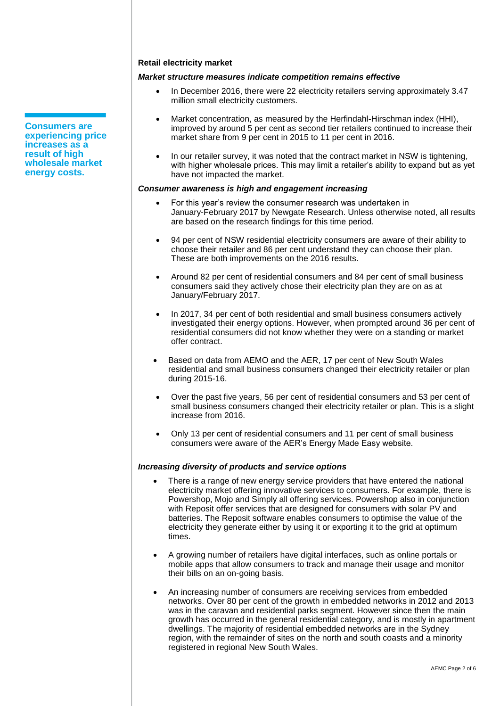#### **Retail electricity market**

## *Market structure measures indicate competition remains effective*

- In December 2016, there were 22 electricity retailers serving approximately 3.47 million small electricity customers.
- Market concentration, as measured by the Herfindahl-Hirschman index (HHI), improved by around 5 per cent as second tier retailers continued to increase their market share from 9 per cent in 2015 to 11 per cent in 2016.
- In our retailer survey, it was noted that the contract market in NSW is tightening. with higher wholesale prices. This may limit a retailer's ability to expand but as yet have not impacted the market.

## *Consumer awareness is high and engagement increasing*

- For this year's review the consumer research was undertaken in January-February 2017 by Newgate Research. Unless otherwise noted, all results are based on the research findings for this time period.
- 94 per cent of NSW residential electricity consumers are aware of their ability to choose their retailer and 86 per cent understand they can choose their plan. These are both improvements on the 2016 results.
- Around 82 per cent of residential consumers and 84 per cent of small business consumers said they actively chose their electricity plan they are on as at January/February 2017.
- In 2017, 34 per cent of both residential and small business consumers actively investigated their energy options. However, when prompted around 36 per cent of residential consumers did not know whether they were on a standing or market offer contract.
- Based on data from AEMO and the AER, 17 per cent of New South Wales residential and small business consumers changed their electricity retailer or plan during 2015-16.
- Over the past five years, 56 per cent of residential consumers and 53 per cent of small business consumers changed their electricity retailer or plan. This is a slight increase from 2016.
- Only 13 per cent of residential consumers and 11 per cent of small business consumers were aware of the AER's Energy Made Easy website.

## *Increasing diversity of products and service options*

- There is a range of new energy service providers that have entered the national electricity market offering innovative services to consumers. For example, there is Powershop, Mojo and Simply all offering services. Powershop also in conjunction with Reposit offer services that are designed for consumers with solar PV and batteries. The Reposit software enables consumers to optimise the value of the electricity they generate either by using it or exporting it to the grid at optimum times.
- A growing number of retailers have digital interfaces, such as online portals or mobile apps that allow consumers to track and manage their usage and monitor their bills on an on-going basis.
- An increasing number of consumers are receiving services from embedded networks. Over 80 per cent of the growth in embedded networks in 2012 and 2013 was in the caravan and residential parks segment. However since then the main growth has occurred in the general residential category, and is mostly in apartment dwellings. The majority of residential embedded networks are in the Sydney region, with the remainder of sites on the north and south coasts and a minority registered in regional New South Wales.

**Consumers are experiencing price increases as a result of high wholesale market energy costs.**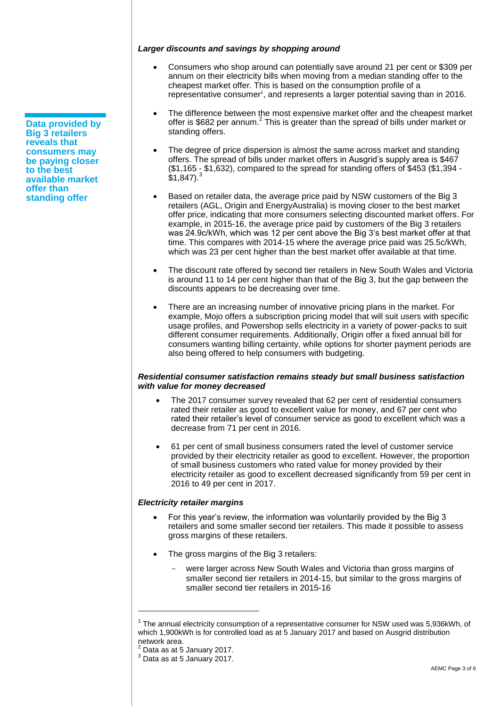**Data provided by Big 3 retailers reveals that consumers may be paying closer to the best available market offer than standing offer**

## *Larger discounts and savings by shopping around*

- Consumers who shop around can potentially save around 21 per cent or \$309 per annum on their electricity bills when moving from a median standing offer to the cheapest market offer. This is based on the consumption profile of a representative consumer<sup>1</sup>, and represents a larger potential saving than in 2016.
- The difference between the most expensive market offer and the cheapest market offer is \$682 per annum.<sup>2</sup> This is greater than the spread of bills under market or standing offers.
- The degree of price dispersion is almost the same across market and standing offers. The spread of bills under market offers in Ausgrid's supply area is \$467 (\$1,165 - \$1,632), compared to the spread for standing offers of \$453 (\$1,394 -  $$1,847$ <sup>3</sup>
- Based on retailer data, the average price paid by NSW customers of the Big 3 retailers (AGL, Origin and EnergyAustralia) is moving closer to the best market offer price, indicating that more consumers selecting discounted market offers. For example, in 2015-16, the average price paid by customers of the Big 3 retailers was 24.9c/kWh, which was 12 per cent above the Big 3's best market offer at that time. This compares with 2014-15 where the average price paid was 25.5c/kWh, which was 23 per cent higher than the best market offer available at that time.
- The discount rate offered by second tier retailers in New South Wales and Victoria is around 11 to 14 per cent higher than that of the Big 3, but the gap between the discounts appears to be decreasing over time.
- There are an increasing number of innovative pricing plans in the market. For example, Mojo offers a subscription pricing model that will suit users with specific usage profiles, and Powershop sells electricity in a variety of power-packs to suit different consumer requirements. Additionally, Origin offer a fixed annual bill for consumers wanting billing certainty, while options for shorter payment periods are also being offered to help consumers with budgeting.

## *Residential consumer satisfaction remains steady but small business satisfaction with value for money decreased*

- The 2017 consumer survey revealed that 62 per cent of residential consumers rated their retailer as good to excellent value for money, and 67 per cent who rated their retailer's level of consumer service as good to excellent which was a decrease from 71 per cent in 2016.
- 61 per cent of small business consumers rated the level of customer service provided by their electricity retailer as good to excellent. However, the proportion of small business customers who rated value for money provided by their electricity retailer as good to excellent decreased significantly from 59 per cent in 2016 to 49 per cent in 2017.

## *Electricity retailer margins*

- For this year's review, the information was voluntarily provided by the Big 3 retailers and some smaller second tier retailers. This made it possible to assess gross margins of these retailers.
- The gross margins of the Big 3 retailers:
	- were larger across New South Wales and Victoria than gross margins of smaller second tier retailers in 2014-15, but similar to the gross margins of smaller second tier retailers in 2015-16

 $\overline{a}$ 

 $1$  The annual electricity consumption of a representative consumer for NSW used was 5,936kWh, of which 1,900kWh is for controlled load as at 5 January 2017 and based on Ausgrid distribution network area.

 $2$  Data as at 5 January 2017.

 $3$  Data as at 5 January 2017.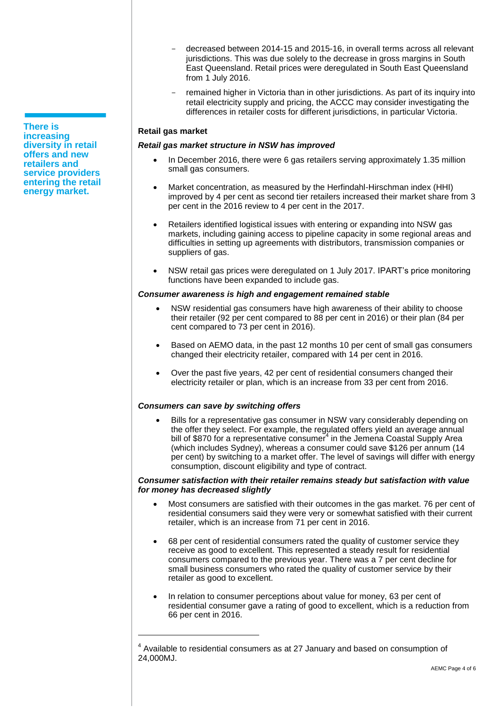- decreased between 2014-15 and 2015-16, in overall terms across all relevant jurisdictions. This was due solely to the decrease in gross margins in South East Queensland. Retail prices were deregulated in South East Queensland from 1 July 2016.
- remained higher in Victoria than in other jurisdictions. As part of its inquiry into retail electricity supply and pricing, the ACCC may consider investigating the differences in retailer costs for different jurisdictions, in particular Victoria.

## **Retail gas market**

## *Retail gas market structure in NSW has improved*

- In December 2016, there were 6 gas retailers serving approximately 1.35 million small gas consumers.
- Market concentration, as measured by the Herfindahl-Hirschman index (HHI) improved by 4 per cent as second tier retailers increased their market share from 3 per cent in the 2016 review to 4 per cent in the 2017.
- Retailers identified logistical issues with entering or expanding into NSW gas markets, including gaining access to pipeline capacity in some regional areas and difficulties in setting up agreements with distributors, transmission companies or suppliers of gas.
- NSW retail gas prices were deregulated on 1 July 2017. IPART's price monitoring functions have been expanded to include gas.

## *Consumer awareness is high and engagement remained stable*

- NSW residential gas consumers have high awareness of their ability to choose their retailer (92 per cent compared to 88 per cent in 2016) or their plan (84 per cent compared to 73 per cent in 2016).
- Based on AEMO data, in the past 12 months 10 per cent of small gas consumers changed their electricity retailer, compared with 14 per cent in 2016.
- Over the past five years, 42 per cent of residential consumers changed their electricity retailer or plan, which is an increase from 33 per cent from 2016.

## *Consumers can save by switching offers*

 $\overline{a}$ 

 Bills for a representative gas consumer in NSW vary considerably depending on the offer they select. For example, the regulated offers yield an average annual bill of \$870 for a representative consumer<sup>4</sup> in the Jemena Coastal Supply Area (which includes Sydney), whereas a consumer could save \$126 per annum (14 per cent) by switching to a market offer. The level of savings will differ with energy consumption, discount eligibility and type of contract.

#### *Consumer satisfaction with their retailer remains steady but satisfaction with value for money has decreased slightly*

- Most consumers are satisfied with their outcomes in the gas market. 76 per cent of residential consumers said they were very or somewhat satisfied with their current retailer, which is an increase from 71 per cent in 2016.
- 68 per cent of residential consumers rated the quality of customer service they receive as good to excellent. This represented a steady result for residential consumers compared to the previous year. There was a 7 per cent decline for small business consumers who rated the quality of customer service by their retailer as good to excellent.
- In relation to consumer perceptions about value for money, 63 per cent of residential consumer gave a rating of good to excellent, which is a reduction from 66 per cent in 2016.

**There is increasing diversity in retail offers and new retailers and service providers entering the retail energy market.** 

 $<sup>4</sup>$  Available to residential consumers as at 27 January and based on consumption of</sup> 24,000MJ.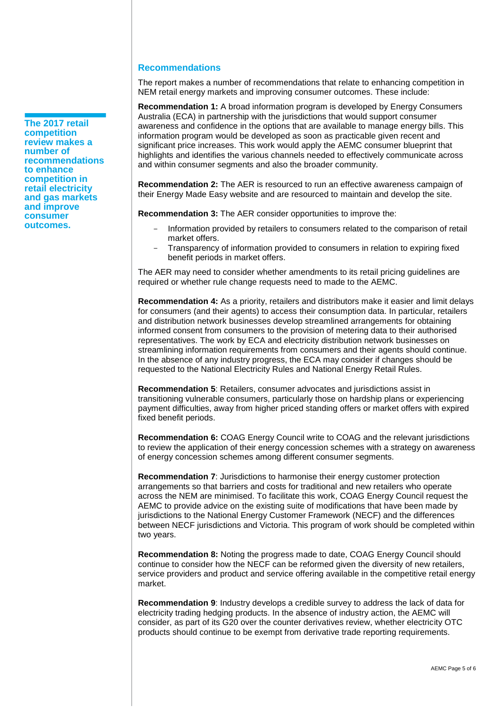## **Recommendations**

The report makes a number of recommendations that relate to enhancing competition in NEM retail energy markets and improving consumer outcomes. These include:

**Recommendation 1:** A broad information program is developed by Energy Consumers Australia (ECA) in partnership with the jurisdictions that would support consumer awareness and confidence in the options that are available to manage energy bills. This information program would be developed as soon as practicable given recent and significant price increases. This work would apply the AEMC consumer blueprint that highlights and identifies the various channels needed to effectively communicate across and within consumer segments and also the broader community.

**Recommendation 2:** The AER is resourced to run an effective awareness campaign of their Energy Made Easy website and are resourced to maintain and develop the site.

**Recommendation 3:** The AER consider opportunities to improve the:

- Information provided by retailers to consumers related to the comparison of retail market offers.
- Transparency of information provided to consumers in relation to expiring fixed benefit periods in market offers.

The AER may need to consider whether amendments to its retail pricing guidelines are required or whether rule change requests need to made to the AEMC.

**Recommendation 4:** As a priority, retailers and distributors make it easier and limit delays for consumers (and their agents) to access their consumption data. In particular, retailers and distribution network businesses develop streamlined arrangements for obtaining informed consent from consumers to the provision of metering data to their authorised representatives. The work by ECA and electricity distribution network businesses on streamlining information requirements from consumers and their agents should continue. In the absence of any industry progress, the ECA may consider if changes should be requested to the National Electricity Rules and National Energy Retail Rules.

**Recommendation 5**: Retailers, consumer advocates and jurisdictions assist in transitioning vulnerable consumers, particularly those on hardship plans or experiencing payment difficulties, away from higher priced standing offers or market offers with expired fixed benefit periods.

**Recommendation 6:** COAG Energy Council write to COAG and the relevant jurisdictions to review the application of their energy concession schemes with a strategy on awareness of energy concession schemes among different consumer segments.

**Recommendation 7**: Jurisdictions to harmonise their energy customer protection arrangements so that barriers and costs for traditional and new retailers who operate across the NEM are minimised. To facilitate this work, COAG Energy Council request the AEMC to provide advice on the existing suite of modifications that have been made by jurisdictions to the National Energy Customer Framework (NECF) and the differences between NECF jurisdictions and Victoria. This program of work should be completed within two years.

**Recommendation 8:** Noting the progress made to date, COAG Energy Council should continue to consider how the NECF can be reformed given the diversity of new retailers, service providers and product and service offering available in the competitive retail energy market.

**Recommendation 9**: Industry develops a credible survey to address the lack of data for electricity trading hedging products. In the absence of industry action, the AEMC will consider, as part of its G20 over the counter derivatives review, whether electricity OTC products should continue to be exempt from derivative trade reporting requirements.

**The 2017 retail competition review makes a number of recommendations to enhance competition in retail electricity and gas markets and improve consumer outcomes.**